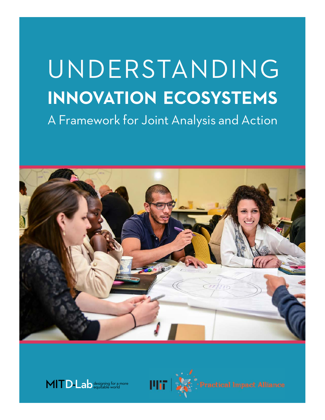# **INNOVATION ECOSYSTEMS** A Framework for Joint Analysis and Action UNDERSTANDING

Understanding Innovation Ecosystems: A Framework for Joint Analysis and Action MIT Practical Impact Alliance





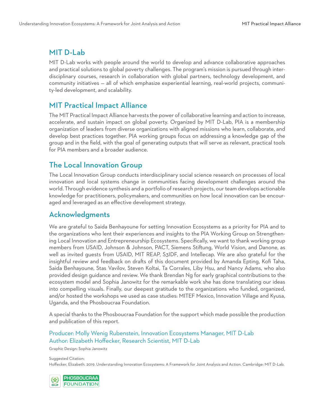#### MIT D-Lab

MIT D-Lab works with people around the world to develop and advance collaborative approaches and practical solutions to global poverty challenges. The program's mission is pursued through interdisciplinary courses, research in collaboration with global partners, technology development, and community initiatives — all of which emphasize experiential learning, real-world projects, community-led development, and scalability.

#### MIT Practical Impact Alliance

The MIT Practical Impact Alliance harvests the power of collaborative learning and action to increase, accelerate, and sustain impact on global poverty. Organized by MIT D-Lab, PIA is a membership organization of leaders from diverse organizations with aligned missions who learn, collaborate, and develop best practices together. PIA working groups focus on addressing a knowledge gap of the group and in the field, with the goal of generating outputs that will serve as relevant, practical tools for PIA members and a broader audience.

### The Local Innovation Group

The Local Innovation Group conducts interdisciplinary social science research on processes of local innovation and local systems change in communities facing development challenges around the world. Through evidence synthesis and a portfolio of research projects, our team develops actionable knowledge for practitioners, policymakers, and communities on how local innovation can be encouraged and leveraged as an effective development strategy.

#### Acknowledgments

We are grateful to Saida Benhayoune for setting Innovation Ecosystems as a priority for PIA and to the organizations who lent their experiences and insights to the PIA Working Group on Strengthening Local Innovation and Entrepreneurship Ecosystems. Specifically, we want to thank working group members from USAID, Johnson & Johnson, PACT, Siemens Stiftung, World Vision, and Danone, as well as invited guests from USAID, MIT REAP, S3IDF, and Intellecap. We are also grateful for the insightful review and feedback on drafts of this document provided by Amanda Epting, Kofi Taha, Saida Benhayoune, Stas Vavilov, Steven Koltai, Ta Corrales, Liby Hsu, and Nancy Adams, who also provided design guidance and review. We thank Brendan Ng for early graphical contributions to the ecosystem model and Sophia Janowitz for the remarkable work she has done translating our ideas into compelling visuals. Finally, our deepest gratitude to the organizations who funded, organized, and/or hosted the workshops we used as case studies: MITEF Mexico, Innovation Village and Kyusa, Uganda, and the Phosboucraa Foundation.

A special thanks to the Phosboucraa Foundation for the support which made possible the production and publication of this report.

Producer: Molly Wenig Rubenstein, Innovation Ecosystems Manager, MIT D-Lab Author: Elizabeth Hoffecker, Research Scientist, MIT D-Lab

Suggested Citation: Hoffecker, Elizabeth. 2019. Understanding Innovation Ecosystems: A Framework for Joint Analysis and Action. Cambridge: MIT D-Lab.



Graphic Design: Sophia Janowitz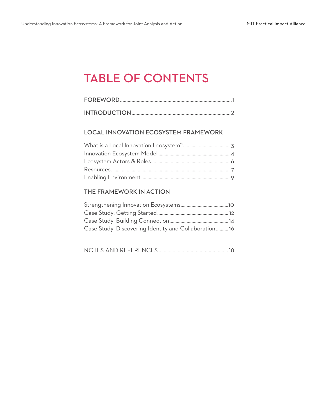## TABLE OF CONTENTS

#### LOCAL INNOVATION ECOSYSTEM FRAMEWORK

#### THE FRAMEWORK IN ACTION

| Case Study: Discovering Identity and Collaboration16 |  |
|------------------------------------------------------|--|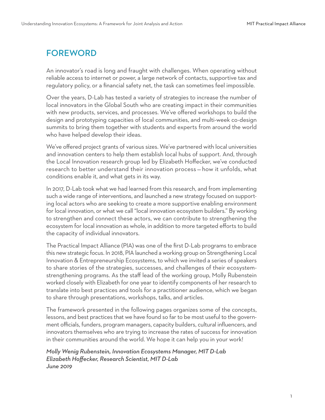## FOREWORD

An innovator's road is long and fraught with challenges. When operating without reliable access to internet or power, a large network of contacts, supportive tax and regulatory policy, or a financial safety net, the task can sometimes feel impossible.

Over the years, D-Lab has tested a variety of strategies to increase the number of local innovators in the Global South who are creating impact in their communities with new products, services, and processes. We've offered workshops to build the design and prototyping capacities of local communities, and multi-week co-design summits to bring them together with students and experts from around the world who have helped develop their ideas.

We've offered project grants of various sizes. We've partnered with local universities and innovation centers to help them establish local hubs of support. And, through the Local Innovation research group led by Elizabeth Hoffecker, we've conducted research to better understand their innovation process — how it unfolds, what conditions enable it, and what gets in its way.

In 2017, D-Lab took what we had learned from this research, and from implementing such a wide range of interventions, and launched a new strategy focused on supporting local actors who are seeking to create a more supportive enabling environment for local innovation, or what we call "local innovation ecosystem builders." By working to strengthen and connect these actors, we can contribute to strengthening the ecosystem for local innovation as whole, in addition to more targeted efforts to build the capacity of individual innovators.

The Practical Impact Alliance (PIA) was one of the first D-Lab programs to embrace this new strategic focus. In 2018, PIA launched a working group on Strengthening Local Innovation & Entrepreneurship Ecosystems, to which we invited a series of speakers to share stories of the strategies, successes, and challenges of their ecosystemstrengthening programs. As the staff lead of the working group, Molly Rubenstein worked closely with Elizabeth for one year to identify components of her research to translate into best practices and tools for a practitioner audience, which we began to share through presentations, workshops, talks, and articles.

The framework presented in the following pages organizes some of the concepts, lessons, and best practices that we have found so far to be most useful to the government officials, funders, program managers, capacity builders, cultural influencers, and innovators themselves who are trying to increase the rates of success for innovation in their communities around the world. We hope it can help you in your work!

*Molly Wenig Rubenstein, Innovation Ecosystems Manager, MIT D-Lab Elizabeth Hoffecker, Research Scientist, MIT D-Lab June 2019*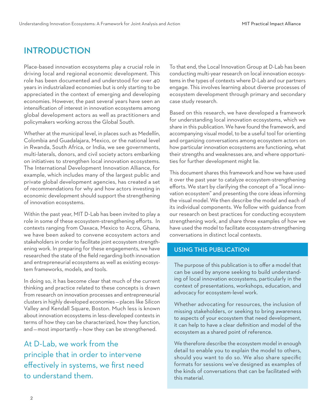## INTRODUCTION

Place-based innovation ecosystems play a crucial role in driving local and regional economic development. This role has been documented and understood for over 40 years in industrialized economies but is only starting to be appreciated in the context of emerging and developing economies. However, the past several years have seen an intensification of interest in innovation ecosystems among global development actors as well as practitioners and policymakers working across the Global South.

Whether at the municipal level, in places such as Medellín, Colombia and Guadalajara, Mexico, or the national level in Rwanda, South Africa, or India, we see governments, multi-laterals, donors, and civil society actors embarking on initiatives to strengthen local innovation ecosystems. The International Development Innovation Alliance, for example, which includes many of the largest public and private global development agencies, has created a set of recommendations for why and how actors investing in economic development should support the strengthening of innovation ecosystems.

Within the past year, MIT D-Lab has been invited to play a role in some of these ecosystem-strengthening efforts. In contexts ranging from Oaxaca, Mexico to Accra, Ghana, we have been asked to convene ecosystem actors and stakeholders in order to facilitate joint ecosystem strengthening work. In preparing for these engagements, we have researched the state of the field regarding both innovation and entrepreneurial ecosystems as well as existing ecosystem frameworks, models, and tools.

In doing so, it has become clear that much of the current thinking and practice related to these concepts is drawn from research on innovation processes and entrepreneurial clusters in highly developed economies — places like Silicon Valley and Kendall Square, Boston. Much less is known about innovation ecosystems in less-developed contexts in terms of how they can be characterized, how they function, and — most importantly — how they can be strengthened.

At D-Lab, we work from the principle that in order to intervene effectively in systems, we first need to understand them.

To that end, the Local Innovation Group at D-Lab has been conducting multi-year research on local innovation ecosystems in the types of contexts where D-Lab and our partners engage. This involves learning about diverse processes of ecosystem development through primary and secondary case study research.

Based on this research, we have developed a framework for understanding local innovation ecosystems, which we share in this publication. We have found the framework, and accompanying visual model, to be a useful tool for orienting and organizing conversations among ecosystem actors on how particular innovation ecosystems are functioning, what their strengths and weaknesses are, and where opportunities for further development might lie.

This document shares this framework and how we have used it over the past year to catalyze ecosystem-strengthening efforts. We start by clarifying the concept of a "local innovation ecosystem" and presenting the core ideas informing the visual model. We then describe the model and each of its individual components. We follow with guidance from our research on best practices for conducting ecosystem strengthening work, and share three examples of how we have used the model to facilitate ecosystem-strengthening conversations in distinct local contexts.

#### USING THIS PUBLICATION

The purpose of this publication is to offer a model that can be used by anyone seeking to build understanding of local innovation ecosystems, particularly in the context of presentations, workshops, education, and advocacy for ecosystem-level work.

Whether advocating for resources, the inclusion of missing stakeholders, or seeking to bring awareness to aspects of your ecosystem that need development, it can help to have a clear definition and model of the ecosystem as a shared point of reference.

We therefore describe the ecosystem model in enough detail to enable you to explain the model to others, should you want to do so. We also share specific formats for sessions we've designed as examples of the kinds of conversations that can be facilitated with this material.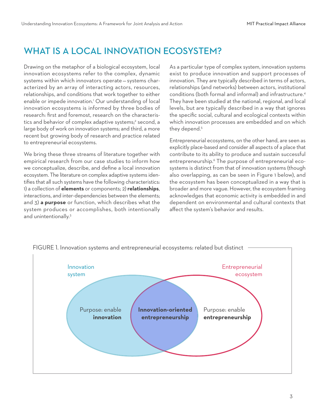## WHAT IS A LOCAL INNOVATION ECOSYSTEM?

Drawing on the metaphor of a biological ecosystem, local innovation ecosystems refer to the complex, dynamic systems within which innovators operate — systems characterized by an array of interacting actors, resources, relationships, and conditions that work together to either enable or impede innovation.<sup>1</sup> Our understanding of local innovation ecosystems is informed by three bodies of research: first and foremost, research on the characteristics and behavior of complex adaptive systems;<sup>2</sup> second, a large body of work on innovation systems; and third, a more recent but growing body of research and practice related to entrepreneurial ecosystems.

We bring these three streams of literature together with empirical research from our case studies to inform how we conceptualize, describe, and define a local innovation ecosystem. The literature on complex adaptive systems identifies that all such systems have the following characteristics: 1) a collection of **elements** or components; 2) **relationships**, interactions, and inter-dependencies between the elements; and 3) **a purpose** or function, which describes what the system produces or accomplishes, both intentionally and unintentionally.<sup>3</sup>

As a particular type of complex system, innovation systems exist to produce innovation and support processes of innovation. They are typically described in terms of actors, relationships (and networks) between actors, institutional conditions (both formal and informal) and infrastructure.4 They have been studied at the national, regional, and local levels, but are typically described in a way that ignores the specific social, cultural and ecological contexts within which innovation processes are embedded and on which they depend.<sup>5</sup>

Entrepreneurial ecosystems, on the other hand, are seen as explicitly place-based and consider all aspects of a place that contribute to its ability to produce and sustain successful entrepreneurship.<sup>6</sup> The purpose of entrepreneurial ecosystems is distinct from that of innovation systems (though also overlapping, as can be seen in Figure 1 below), and the ecosystem has been conceptualized in a way that is broader and more vague. However, the ecosystem framing acknowledges that economic activity is embedded in and dependent on environmental and cultural contexts that affect the system's behavior and results.



FIGURE 1. Innovation systems and entrepreneurial ecosystems: related but distinct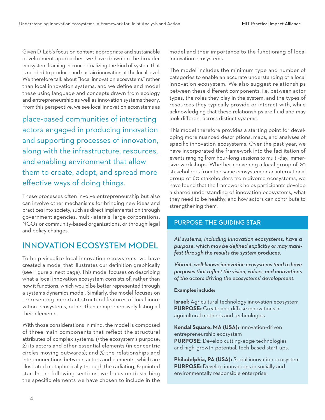Given D-Lab's focus on context-appropriate and sustainable development approaches, we have drawn on the broader ecosystem framing in conceptualizing the kind of system that is needed to produce and sustain innovation at the local level. We therefore talk about "local innovation ecosystems" rather than local innovation systems, and we define and model these using language and concepts drawn from ecology and entrepreneurship as well as innovation systems theory. From this perspective, we see local innovation ecosystems as

place-based communities of interacting actors engaged in producing innovation and supporting processes of innovation, along with the infrastructure, resources, and enabling environment that allow them to create, adopt, and spread more effective ways of doing things.

These processes often involve entrepreneurship but also can involve other mechanisms for bringing new ideas and practices into society, such as direct implementation through government agencies, multi-laterals, large corporations, NGOs or community-based organizations, or through legal and policy changes.

## INNOVATION ECOSYSTEM MODEL

To help visualize local innovation ecosystems, we have created a model that illustrates our definition graphically (see Figure 2, next page). This model focuses on describing what a local innovation ecosystem consists of, rather than how it functions, which would be better represented through a systems dynamics model. Similarly, the model focuses on representing important structural features of local innovation ecosystems, rather than comprehensively listing all their elements.

With those considerations in mind, the model is composed of three main components that reflect the structural attributes of complex systems: 1) the ecosystem's purpose; 2) its actors and other essential elements (in concentric circles moving outwards); and 3) the relationships and interconnections between actors and elements, which are illustrated metaphorically through the radiating, 8-pointed star. In the following sections, we focus on describing the specific elements we have chosen to include in the model and their importance to the functioning of local innovation ecosystems.

The model includes the minimum type and number of categories to enable an accurate understanding of a local innovation ecosystem. We also suggest relationships between these different components, i.e. between actor types, the roles they play in the system, and the types of resources they typically provide or interact with, while acknowledging that these relationships are fluid and may look different across distinct systems.

This model therefore provides a starting point for developing more nuanced descriptions, maps, and analyses of specific innovation ecosystems. Over the past year, we have incorporated the framework into the facilitation of events ranging from hour-long sessions to multi-day, immersive workshops. Whether convening a local group of 20 stakeholders from the same ecosystem or an international group of 60 stakeholders from diverse ecosystems, we have found that the framework helps participants develop a shared understanding of innovation ecosystems, what they need to be healthy, and how actors can contribute to strengthening them.

#### PURPOSE: THE GUIDING STAR

*All systems, including innovation ecosystems, have a purpose, which may be defined explicitly or may manifest through the results the system produces.* 

*Vibrant, well-known innovation ecosystems tend to have purposes that reflect the vision, values, and motivations of the actors driving the ecosystems' development.* 

#### **Examples include:**

**Israel:** Agricultural technology innovation ecosystem **PURPOSE:** Create and diffuse innovations in agricultural methods and technologies.

**Kendal Square, MA (USA):** Innovation-driven entrepreneurship ecosystem **PURPOSE:** Develop cutting-edge technologies and high-growth-potential, tech-based start-ups.

**Philadelphia, PA (USA):** Social innovation ecosystem **PURPOSE:** Develop innovations in socially and environmentally responsible enterprise.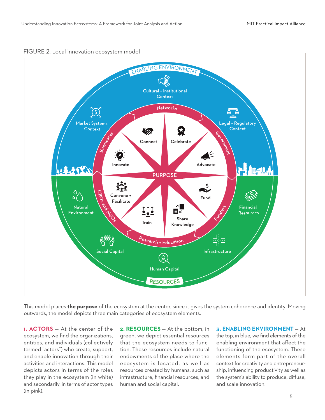

This model places **the purpose** of the ecosystem at the center, since it gives the system coherence and identity. Moving outwards, the model depicts three main categories of ecosystem elements.

**1. ACTORS** — At the center of the ecosystem, we find the organizations, entities, and individuals (collectively termed "actors") who create, support, and enable innovation through their activities and interactions. This model depicts actors in terms of the roles they play in the ecosystem (in white) and secondarily, in terms of actor types (in pink).

**2. RESOURCES** — At the bottom, in green, we depict essential resources that the ecosystem needs to function. These resources include natural endowments of the place where the ecosystem is located, as well as resources created by humans, such as infrastructure, financial resources, and human and social capital.

**3. ENABLING ENVIRONMENT** — At the top, in blue, we find elements of the enabling environment that affect the functioning of the ecosystem. These elements form part of the overall context for creativity and entrepreneurship, influencing productivity as well as the system's ability to produce, diffuse, and scale innovation.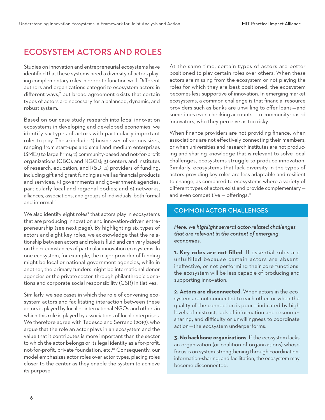## ECOSYSTEM ACTORS AND ROLES

Studies on innovation and entrepreneurial ecosystems have identified that these systems need a diversity of actors playing complementary roles in order to function well. Different authors and organizations categorize ecosystem actors in different ways,7 but broad agreement exists that certain types of actors are necessary for a balanced, dynamic, and robust system.

Based on our case study research into local innovation ecosystems in developing and developed economies, we identify six types of actors with particularly important roles to play. These include: 1) businesses of various sizes, ranging from start-ups and small and medium enterprises (SMEs) to large firms; 2) community-based and not-for-profit organizations (CBOs and NGOs); 3) centers and institutes of research, education, and R&D; 4) providers of funding, including gift and grant funding as well as financial products and services; 5) governments and government agencies, particularly local and regional bodies; and 6) networks, alliances, associations, and groups of individuals, both formal and informal.<sup>8</sup>

We also identify eight roles $\degree$  that actors play in ecosystems that are producing innovation and innovation-driven entrepreneurship (see next page). By highlighting six types of actors and eight key roles, we acknowledge that the relationship between actors and roles is fluid and can vary based on the circumstances of particular innovation ecosystems. In one ecosystem, for example, the major provider of funding might be local or national government agencies, while in another, the primary funders might be international donor agencies or the private sector, through philanthropic donations and corporate social responsibility (CSR) initiatives.

Similarly, we see cases in which the role of convening ecosystem actors and facilitating interaction between these actors is played by local or international NGOs and others in which this role is played by associations of local enterprises. We therefore agree with Tedesco and Serrano (2019), who argue that the role an actor plays in an ecosystem and the value that it contributes is more important than the sector to which the actor belongs or its legal identity as a for-profit, not-for-profit, private foundation, etc.<sup>10</sup> Consequently, our model emphasizes actor roles over actor types, placing roles closer to the center as they enable the system to achieve its purpose.

At the same time, certain types of actors are better positioned to play certain roles over others. When these actors are missing from the ecosystem or not playing the roles for which they are best positioned, the ecosystem becomes less supportive of innovation. In emerging market ecosystems, a common challenge is that financial resource providers such as banks are unwilling to offer loans — and sometimes even checking accounts — to community-based innovators, who they perceive as too risky.

When finance providers are not providing finance, when associations are not effectively connecting their members, or when universities and research institutes are not producing and sharing knowledge that is relevant to solve local challenges, ecosystems struggle to produce innovation. Similarly, ecosystems that lack diversity in the types of actors providing key roles are less adaptable and resilient to change, as compared to ecosystems where a variety of different types of actors exist and provide complementary and even competitive - offerings.<sup>11</sup>

#### COMMON ACTOR CHALLENGES

*Here, we highlight several actor-related challenges that are relevant in the context of emerging economies.*

**1. Key roles are not filled**. If essential roles are unfulfilled because certain actors are absent, ineffective, or not performing their core functions, the ecosystem will be less capable of producing and supporting innovation.

**2. Actors are disconnected.** When actors in the ecosystem are not connected to each other, or when the quality of the connection is poor — indicated by high levels of mistrust, lack of information and resourcesharing, and difficulty or unwillingness to coordinate action — the ecosystem underperforms.

**3. No backbone organizations**. If the ecosystem lacks an organization (or coalition of organizations) whose focus is on system-strengthening through coordination, information-sharing, and facilitation, the ecosystem may become disconnected.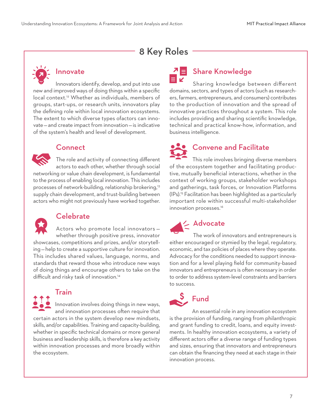## 8 Key Roles



## Innovate

Innovators identify, develop, and put into use new and improved ways of doing things within a specific local context.<sup>12</sup> Whether as individuals, members of groups, start-ups, or research units, innovators play the defining role within local innovation ecosystems. The extent to which diverse types ofactors can innovate — and create impact from innovation — is indicative of the system's health and level of development.

#### **Connect**

The role and activity of connecting different actors to each other, whether through social networking or value chain development, is fundamental to the process of enabling local innovation. This includes processes of network-building, relationship brokering,13 supply chain development, and trust-building between actors who might not previously have worked together.



the ecosystem.

### Celebrate

Actors who promote local innovators whether through positive press, innovator showcases, competitions and prizes, and/or storytelling — help to create a supportive culture for innovation. This includes shared values, language, norms, and standards that reward those who introduce new ways of doing things and encourage others to take on the difficult and risky task of innovation.<sup>14</sup>



# $\overline{\mathcal{L}}$  = Share Knowledge

Sharing knowledge between different domains, sectors, and types of actors (such as researchers, farmers, entrepreneurs, and consumers) contributes to the production of innovation and the spread of innovative practices throughout a system. This role includes providing and sharing scientific knowledge, technical and practical know-how, information, and business intelligence.

# Convene and Facilitate

This role involves bringing diverse members of the ecosystem together and facilitating productive, mutually beneficial interactions, whether in the context of working groups, stakeholder workshops and gatherings, task forces, or Innovation Platforms (IPs).15 Facilitation has been highlighted as a particularly important role within successful multi-stakeholder innovation processes.<sup>16</sup>

 $\leq$  Advocate

The work of innovators and entrepreneurs is either encouraged or stymied by the legal, regulatory, economic, and tax policies of places where they operate. Advocacy for the conditions needed to support innovation and for a level playing field for community-based innovators and entrepreneurs is often necessary in order to order to address system-level constraints and barriers to success.



An essential role in any innovation ecosystem is the provision of funding, ranging from philanthropic and grant funding to credit, loans, and equity investments. In healthy innovation ecosystems, a variety of different actors offer a diverse range of funding types and sizes, ensuring that innovators and entrepreneurs can obtain the financing they need at each stage in their innovation process.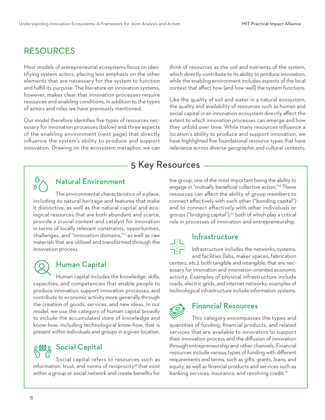## RESOURCES

Most models of entrepreneurial ecosystems focus on identifying system actors, placing less emphasis on the other elements that are necessary for the system to function and fulfill its purpose. The literature on innovation systems, however, makes clear that innovation processes require resources and enabling conditions, in addition to the types of actors and roles we have previously mentioned.

Our model therefore identifies five types of resources necessary for innovation processes (below) and three aspects of the enabling environment (next page) that directly influence the system's ability to produce and support innovation. Drawing on the ecosystem metaphor, we can

think of resources as the soil and nutrients of the system, which directly contribute to its ability to produce innovation; while the enabling environment includes aspects of the local context that affect how (and how well) the system functions.

Like the quality of soil and water in a natural ecosystem, the quality and availability of resources such as human and social capital in an innovation ecosystem directly affect the extent to which innovation processes can emerge and how they unfold over time. While many resources influence a location's ability to produce and support innovation, we have highlighted five foundational resource types that have relevance across diverse geographic and cultural contexts.

## 5 Key Resources



## Natural Environment

The environmental characteristics of a place, including its natural heritage and features that make it distinctive, as well as the natural capital and ecological resources that are both abundant and scarce, provide a crucial context and catalyst for innovation in terms of locally relevant constraints, opportunities, challenges, and "innovation domains,"17 as well as raw materials that are utilized and transformed through the innovation process.



### Human Capital

Human capital includes the knowledge, skills, capacities, and competencies that enable people to produce innovation, support innovation processes, and contribute to economic activity more generally through the creation of goods, services, and new ideas. In our model, we use the category of human capital broadly to include the accumulated store of knowledge and know-how, including technological know-how, that is present within individuals and groups in a given location.

## %) Social Capital

Social capital refers to resources such as information, trust, and norms of reciprocity<sup>18</sup> that exist within a group or social network and create benefits for the group, one of the most important being the ability to engage in "mutually beneficial collective action."19 These resources can affect the ability of group members to connect effectively with each other ("bonding capital") and to connect effectively with other individuals or groups ("bridging capital"),<sup>20</sup> both of which play a critical role in processes of innovation and entrepreneurship.

#### Infrastructure

Infrastructure includes the networks, systems, and facilities (labs, maker spaces, fabrication centers, etc.), both tangible and intangible, that are necessary for innovation and innovation-oriented economic

activity. Examples of physical infrastructure include roads, electric grids, and internet networks; examples of technological infrastructure include information systems.



#### Financial Resources

This category encompasses the types and quantities of funding, financial products, and related services that are available to innovators to support their innovation process and the diffusion of innovation through entrepreneurship and other channels. Financial resources include various types of funding with different requirements and terms, such as gifts, grants, loans, and equity, as well as financial products and services such as banking services, insurance, and revolving credit.<sup>21</sup>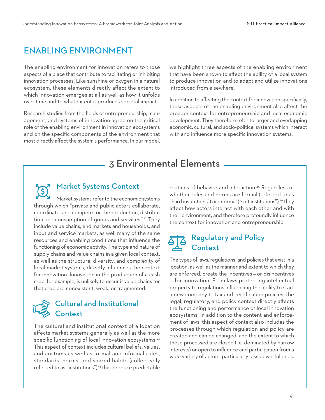## ENABLING ENVIRONMENT

The enabling environment for innovation refers to those aspects of a place that contribute to facilitating or inhibiting innovation processes. Like sunshine or oxygen in a natural ecosystem, these elements directly affect the extent to which innovation emerges at all as well as how it unfolds over time and to what extent it produces societal impact.

Research studies from the fields of entrepreneurship, management, and systems of innovation agree on the critical role of the enabling environment in innovation ecosystems and on the specific components of the environment that most directly affect the system's performance. In our model,

we highlight three aspects of the enabling environment that have been shown to affect the ability of a local system to produce innovation and to adapt and utilize innovations introduced from elsewhere.

In addition to affecting the context for innovation specifically, these aspects of the enabling environment also affect the broader context for entrepreneurship and local economic development. They therefore refer to larger and overlapping economic, cultural, and socio-political systems which interact with and influence more specific innovation systems.

## 3 Environmental Elements

#### Market Systems Context

 $\mathcal{O}$ Market systems refer to the economic systems through which "private and public actors collaborate, coordinate, and compete for the production, distribution and consumption of goods and services."<sup>22</sup> They include value chains, end markets and households, and input and service markets, as well many of the same resources and enabling conditions that influence the functioning of economic activity. The type and nature of supply chains and value chains in a given local context, as well as the structure, diversity, and complexity of local market systems, directly influences the context for innovation. Innovation in the production of a cash crop, for example, is unlikely to occur if value chains for that crop are nonexistent, weak, or fragmented.

## Cultural and Institutional Context

The cultural and institutional context of a location affects market systems generally as well as the more specific functioning of local innovation ecosystems.<sup>23</sup> This aspect of context includes cultural beliefs, values, and customs as well as formal and informal rules, standards, norms, and shared habits (collectively referred to as "institutions")<sup>24</sup> that produce predictable

routines of behavior and interaction.<sup>25</sup> Regardless of whether rules and norms are formal (referred to as "hard institutions") or informal ("soft institutions"),<sup>26</sup> they affect how actors interact with each other and with their environment, and therefore profoundly influence the context for innovation and entrepreneurship.

## Regulatory and Policy Context

The types of laws, regulations, and policies that exist in a location, as well as the manner and extent to which they are enforced, create the incentives — or disincentives — for innovation. From laws protecting intellectual property to regulations influencing the ability to start a new company to tax and certification policies, the legal, regulatory, and policy context directly affects the functioning and performance of local innovation ecosystems. In addition to the content and enforcement of laws, this aspect of context also includes the processes through which regulation and policy are created and can be changed, and the extent to which these processed are closed (i.e. dominated by narrow interests) or open to influence and participation from a wide variety of actors, particularly less powerful ones.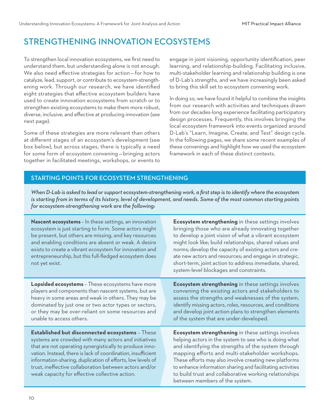## STRENGTHENING INNOVATION ECOSYSTEMS

To strengthen local innovation ecosystems, we first need to understand them, but understanding alone is not enough. We also need effective strategies for action — for how to catalyze, lead, support, or contribute to ecosystem-strengthening work. Through our research, we have identified eight strategies that effective ecosystem builders have used to create innovation ecosystems from scratch or to strengthen existing ecosystems to make them more robust, diverse, inclusive, and effective at producing innovation (see next page).

Some of these strategies are more relevant than others at different stages of an ecosystem's development (see box below), but across stages, there is typically a need for some form of ecosystem convening — bringing actors together in facilitated meetings, workshops, or events to

engage in joint visioning, opportunity identification, peer learning, and relationship-building. Facilitating inclusive, multi-stakeholder learning and relationship building is one of D-Lab's strengths, and we have increasingly been asked to bring this skill set to ecosystem convening work.

In doing so, we have found it helpful to combine the insights from our research with activities and techniques drawn from our decades-long experience facilitating participatory design processes. Frequently, this involves bringing the local ecosystem framework into events organized around D-Lab's "Learn, Imagine, Create, and Test" design cycle. In the following pages, we share some recent examples of these convenings and highlight how we used the ecosystem framework in each of these distinct contexts.

#### STARTING POINTS FOR ECOSYSTEM STRENGTHENING

*When D-Lab is asked to lead or support ecosystem-strengthening work, a first step is to identify where the ecosystem is starting from in terms of its history, level of development, and needs. Some of the most common starting points for ecosystem-strengthening work are the following:* 

| Nascent ecosystems - In these settings, an innovation<br>ecosystem is just starting to form. Some actors might<br>be present, but others are missing, and key resources<br>and enabling conditions are absent or weak. A desire<br>exists to create a vibrant ecosystem for innovation and<br>entrepreneurship, but this full-fledged ecosystem does<br>not yet exist.                                       | Ecosystem strengthening in these settings involves<br>bringing those who are already innovating together<br>to develop a joint vision of what a vibrant ecosystem<br>might look like; build relationships, shared values and<br>norms; develop the capacity of existing actors and cre-<br>ate new actors and resources; and engage in strategic,<br>short-term, joint action to address immediate, shared,<br>system-level blockages and constraints. |
|--------------------------------------------------------------------------------------------------------------------------------------------------------------------------------------------------------------------------------------------------------------------------------------------------------------------------------------------------------------------------------------------------------------|--------------------------------------------------------------------------------------------------------------------------------------------------------------------------------------------------------------------------------------------------------------------------------------------------------------------------------------------------------------------------------------------------------------------------------------------------------|
| Lopsided ecosystems - These ecosystems have more<br>players and components than nascent systems, but are<br>heavy in some areas and weak in others. They may be<br>dominated by just one or two actor types or sectors,<br>or they may be over-reliant on some resources and<br>unable to access others.                                                                                                     | Ecosystem strengthening in these settings involves<br>convening the existing actors and stakeholders to<br>assess the strengths and weaknesses of the system,<br>identify missing actors, roles, resources, and conditions<br>and develop joint action plans to strengthen elements<br>of the system that are under-developed.                                                                                                                         |
| Established but disconnected ecosystems - These<br>systems are crowded with many actors and initiatives<br>that are not operating synergistically to produce inno-<br>vation. Instead, there is lack of coordination, insufficient<br>information-sharing, duplication of efforts, low levels of<br>trust, ineffective collaboration between actors and/or<br>weak capacity for effective collective action. | Ecosystem strengthening in these settings involves<br>helping actors in the system to see who is doing what<br>and identifying the strengths of the system through<br>mapping efforts and multi-stakeholder workshops.<br>These efforts may also involve creating new platforms<br>to enhance information sharing and facilitating activities<br>to build trust and collaborative working relationships<br>between members of the system.              |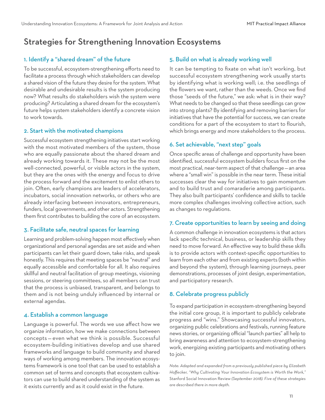## Strategies for Strengthening Innovation Ecosystems

#### 1. Identify a "shared dream" of the future

To be successful, ecosystem-strengthening efforts need to facilitate a process through which stakeholders can develop a shared vision of the future they desire for the system. What desirable and undesirable results is the system producing now? What results do stakeholders wish the system were producing? Articulating a shared dream for the ecosystem's future helps system stakeholders identify a concrete vision to work towards.

#### 2. Start with the motivated champions

Successful ecosystem strengthening initiatives start working with the most motivated members of the system, those who are equally passionate about the shared dream and already working towards it. These may not be the most well-connected, powerful, or visible actors in the system, but they are the ones with the energy and focus to drive the process forward and the excitement to enlist others to join. Often, early champions are leaders of accelerators, incubators, social innovation networks, or others who are already interfacing between innovators, entrepreneurs, funders, local governments, and other actors. Strengthening them first contributes to building the core of an ecosystem.

#### 3. Facilitate safe, neutral spaces for learning

Learning and problem-solving happen most effectively when organizational and personal agendas are set aside and when participants can let their guard down, take risks, and speak honestly. This requires that meeting spaces be "neutral" and equally accessible and comfortable for all. It also requires skillful and neutral facilitation of group meetings, visioning sessions, or steering committees, so all members can trust that the process is unbiased, transparent, and belongs to them and is not being unduly influenced by internal or external agendas.

#### 4. Establish a common language

Language is powerful. The words we use affect how we organize information, how we make connections between concepts — even what we think is possible. Successful ecosystem-building initiatives develop and use shared frameworks and language to build community and shared ways of working among members. The innovation ecosystems framework is one tool that can be used to establish a common set of terms and concepts that ecosystem cultivators can use to build shared understanding of the system as it exists currently and as it could exist in the future.

#### 5. Build on what is already working well

It can be tempting to fixate on what isn't working, but successful ecosystem strengthening work usually starts by identifying what is working well; i.e. the seedlings of the flowers we want, rather than the weeds. Once we find those "seeds of the future," we ask: what is in their way? What needs to be changed so that these seedlings can grow into strong plants? By identifying and removing barriers for initiatives that have the potential for success, we can create conditions for a part of the ecosystem to start to flourish, which brings energy and more stakeholders to the process.

#### 6. Set achievable, "next step" goals

Once specific areas of challenge and opportunity have been identified, successful ecosystem builders focus first on the most practical, near-term aspect of that challenge — an area where a "small win" is possible in the near term. These initial successes clear the way for initiatives to gain momentum and to build trust and comaraderie among participants. They also built participants' confidence and skills to tackle more complex challenges involving collective action, such as changes to regulations.

#### 7. Create opportunities to learn by seeing and doing

A common challenge in innovation ecosystems is that actors lack specific technical, business, or leadership skills they need to move forward. An effective way to build these skills is to provide actors with context-specific opportunities to learn from each other and from existing experts (both within and beyond the system), through learning journeys, peer demonstrations, processes of joint design, experimentation, and participatory research.

#### 8. Celebrate progress publicly

To expand participation in ecosystem-strengthening beyond the initial core group, it is important to publicly celebrate progress and "wins." Showcasing successful innovators, organizing public celebrations and festivals, running feature news stories, or organizing official "launch parties" all help to bring awareness and attention to ecosystem-strengthening work, energizing existing participants and motivating others to join.

*Note: Adapted and expanded from a previously published piece by Elizabeth Hoffecker, "Why Cultivating Your Innovation Ecosystem is Worth the Work,"*  Stanford Social Innovation Review *(September 2018). Five of these strategies are described there in more depth.*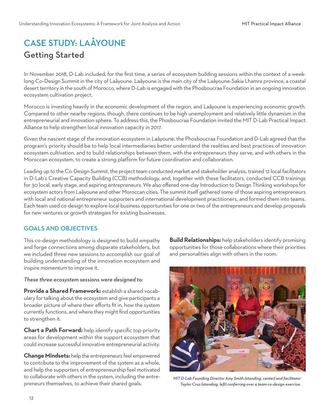## CASE STUDY: LAÂYOUNE Getting Started

In November 2018, D-Lab included, for the first time, a series of ecosystem building sessions within the context of a weeklong Co-Design Summit in the city of Laâyoune. Laâyoune is the main city of the Laâyoune-Sakia Lhamra province, a coastal desert territory in the south of Morocco, where D-Lab is engaged with the Phosboucraa Foundation in an ongoing innovation ecosystem cultivation project.

Morocco is investing heavily in the economic development of the region, and Laâyoune is experiencing economic growth. Compared to other nearby regions, though, there continues to be high unemployment and relatively little dynamism in the entrepreneurial and innovation sphere. To address this, the Phosboucraa Foundation invited the MIT D-Lab Practical Impact Alliance to help strengthen local innovation capacity in 2017.

Given the nascent stage of the innovation ecosystem in Laâyoune, the Phosboucraa Foundation and D-Lab agreed that the program's priority should be to help local intermediaries better understand the realities and best practices of innovation ecosystem cultivation, and to build relationships between them, with the entrepreneurs they serve, and with others in the Moroccan ecosystem, to create a strong platform for future coordination and collaboration.

Leading up to the Co-Design Summit, the project team conducted market and stakeholder analysis, trained 12 local facilitators in D-Lab's Creative Capacity Building (CCB) methodology, and, together with these facilitators, conducted CCB trainings for 30 local, early stage, and aspiring entrepreneurs. We also offered one-day Introduction to Design Thinking workshops for ecosystem actors from Laâyoune and other Moroccan cities. The summit itself gathered some of those aspiring entrepreneurs with local and national entrepreneur supporters and international development practitioners, and formed them into teams. Each team used co-design to explore local business opportunities for one or two of the entrepreneurs and develop proposals for new ventures or growth strategies for existing businesses.

#### GOALS AND OBJECTIVES

This co-design methodology is designed to build empathy and forge connections among disparate stakeholders, but we included three new sessions to accomplish our goal of building understanding of the innovation ecosystem and inspire momentum to improve it.

#### *These three ecosystem sessions were designed to:*

**Provide a Shared Framework:** establish a shared vocabulary for talking about the ecosystem and give participants a broader picture of where their efforts fit in, how the system currently functions, and where they might find opportunities to strengthen it.

**Chart a Path Forward:** help identify specific top-priority areas for development within the support ecosystem that could increase successful innovative entrepreneurial activity.

**Change Mindsets:** help the entrepreneurs feel empowered to contribute to the improvement of the system as a whole, and help the supporters of entrepreneurship feel motivated to collaborate with others in the system, including the entrepreneurs themselves, to achieve their shared goals.

**Build Relationships:** help stakeholders identify promising opportunities for those collaborations where their priorities and personalities align with others in the room.



*MIT D-Lab Founding Director Amy Smith (standing, center) and facilitator Taylor Cruz (standing, le) conferring over a team co-design exercise.*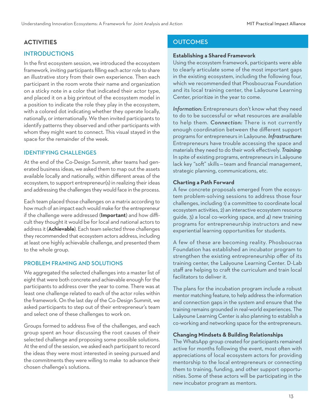#### INTRODUCTIONS

In the first ecosystem session, we introduced the ecosystem framework, inviting participants filling each actor role to share an illustrative story from their own experience. Then each participant in the room wrote their name and organization on a sticky note in a color that indicated their actor type, and placed it on a big printout of the ecosystem model in a position to indicate the role they play in the ecosystem, with a colored dot indicating whether they operate locally, nationally, or internationally. We then invited participants to identify patterns they observed and other participants with whom they might want to connect. This visual stayed in the space for the remainder of the week.

#### IDENTIFYING CHALLENGES

At the end of the Co-Design Summit, after teams had generated business ideas, we asked them to map out the assets available locally and nationally, within different areas of the ecosystem, to support entrepreneur(s) in realizing their ideas and addressing the challenges they would face in the process.

Each team placed those challenges on a matrix according to how much of an impact each would make for the entrepreneur if the challenge were addressed (**Important**) and how difficult they thought it would be for local and national actors to address it (**Achievable**). Each team selected three challenges they recommended that ecosystem actors address, including at least one highly achievable challenge, and presented them to the whole group.

#### PROBLEM FRAMING AND SOLUTIONS

We aggregated the selected challenges into a master list of eight that were both concrete and achievable enough for the participants to address over the year to come. There was at least one challenge related to each of the actor roles within the framework. On the last day of the Co-Design Summit, we asked participants to step out of their entrepreneur's team and select one of these challenges to work on.

Groups formed to address five of the challenges, and each group spent an hour discussing the root causes of their selected challenge and proposing some possible solutions. At the end of the session, we asked each participant to record the ideas they were most interested in seeing pursued and the commitments they were willing to make to advance their chosen challenge's solutions.

#### **ACTIVITIES OUTCOMES**

#### **Establishing a Shared Framework**

Using the ecosystem framework, participants were able to clearly articulate some of the most important gaps in the existing ecosystem, including the following four, which we recommended that Phosboucraa Foundation and its local training center, the Laâyoune Learning Center, prioritize in the year to come.

*Information:* Entrepreneurs don't know what they need to do to be successful or what resources are available to help them. *Connection:* There is not currently enough coordination between the different support programs for entrepreneurs in Laâyoune. *Infrastructure:*  Entrepreneurs have trouble accessing the space and materials they need to do their work effectively. *Training:*  In spite of existing programs, entrepreneurs in Laâyoune lack key "soft" skills - team and financial management, strategic planning, communications, etc.

#### **Charting a Path Forward**

A few concrete proposals emerged from the ecosystem problem-solving sessions to address those four challenges, including 1) a committee to coordinate local ecosystem activities, 2) an interactive ecosystem resource guide, 3) a local co-working space, and 4) new training programs for entrepreneurship instructors and new experiential learning opportunities for students.

A few of these are becoming reality. Phosboucraa Foundation has established an incubator program to strengthen the existing entrepreneurship offer of its training center, the Laâyoune Learning Center. D-Lab staff are helping to craft the curriculum and train local facilitators to deliver it.

The plans for the incubation program include a robust mentor matching feature, to help address the information and connection gaps in the system and ensure that the training remains grounded in real-world experiences. The Laâyoune Learning Center is also planning to establish a co-working and networking space for the entrepreneurs.

#### **Changing Mindsets & Building Relationships**

The WhatsApp group created for participants remained active for months following the event, most often with appreciations of local ecosystem actors for providing mentorship to the local entrepreneurs or connecting them to training, funding, and other support opportunities. Some of these actors will be participating in the new incubator program as mentors.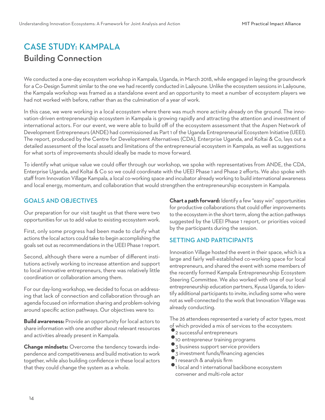## CASE STUDY: KAMPALA Building Connection

We conducted a one-day ecosystem workshop in Kampala, Uganda, in March 2018, while engaged in laying the groundwork for a Co-Design Summit similar to the one we had recently conducted in Laâyoune. Unlike the ecosystem sessions in Laâyoune, the Kampala workshop was framed as a standalone event and an opportunity to meet a number of ecosystem players we had not worked with before, rather than as the culmination of a year of work.

In this case, we were working in a local ecosystem where there was much more activity already on the ground. The innovation-driven entrepreneurship ecosystem in Kampala is growing rapidly and attracting the attention and investment of international actors. For our event, we were able to build off of the ecosystem assessment that the Aspen Network of Development Entrepreneurs (ANDE) had commissioned as Part 1 of the Uganda Entrepreneurial Ecosystem Initiative (UEEI). The report, produced by the Centre for Development Alternatives (CDA), Enterprise Uganda, and Koltai & Co, lays out a detailed assessment of the local assets and limitations of the entrepreneurial ecosystem in Kampala, as well as suggestions for what sorts of improvements should ideally be made to move forward.

To identify what unique value we could offer through our workshop, we spoke with representatives from ANDE, the CDA, Enterprise Uganda, and Koltai & Co so we could coordinate with the UEEI Phase 1 and Phase 2 efforts. We also spoke with staff from Innovation Village Kampala, a local co-working space and incubator already working to build international awareness and local energy, momentum, and collaboration that would strengthen the entrepreneurship ecosystem in Kampala.

#### GOALS AND OBJECTIVES

Our preparation for our visit taught us that there were two opportunities for us to add value to existing ecosystem work.

First, only some progress had been made to clarify what actions the local actors could take to begin accomplishing the goals set out as recommendations in the UEEI Phase 1 report.

Second, although there were a number of different institutions actively working to increase attention and support to local innovative entrepreneurs, there was relatively little coordination or collaboration among them.

For our day-long workshop, we decided to focus on addressing that lack of connection and collaboration through an agenda focused on information sharing and problem-solving around specific action pathways. Our objectives were to:

**Build awareness:** Provide an opportunity for local actors to share information with one another about relevant resources and activities already present in Kampala.

**Change mindsets:** Overcome the tendency towards independence and competitiveness and build motivation to work together, while also building confidence in these local actors that they could change the system as a whole.

**Chart a path forward:** Identify a few "easy win" opportunities for productive collaborations that could offer improvements to the ecosystem in the short term, along the action pathways suggested by the UEEI Phase 1 report, or priorities voiced by the participants during the session.

#### SETTING AND PARTICIPANTS

Innovation Village hosted the event in their space, which is a large and fairly well-established co-working space for local entrepreneurs, and shared the event with some members of the recently formed Kampala Entrepreneurship Ecosystem Steering Committee. We also worked with one of our local entrepreneurship education partners, Kyusa Uganda, to identify additional participants to invite, including some who were not as well-connected to the work that Innovation Village was already conducting.

The 26 attendees represented a variety of actor types, most of which provided a mix of services to the ecosystem:

- 2 successful entrepreneurs
- 10 entrepreneur training programs
- 3 business support service providers
- 3 investment funds/financing agencies
- 1 research & analysis firm
- 1 local and 1 international backbone ecosystem convener and multi-role actor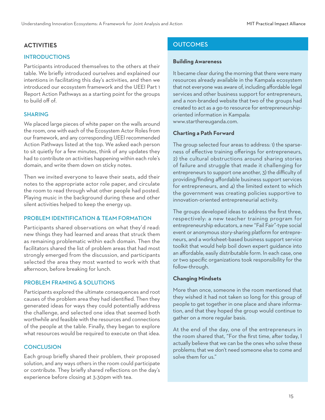#### INTRODUCTIONS

Participants introduced themselves to the others at their table. We briefly introduced ourselves and explained our intentions in facilitating this day's activities, and then we introduced our ecosystem framework and the UEEI Part 1 Report Action Pathways as a starting point for the groups to build off of.

#### SHARING

We placed large pieces of white paper on the walls around the room, one with each of the Ecosystem Actor Roles from our framework, and any corresponding UEEI recommended Action Pathways listed at the top. We asked each person to sit quietly for a few minutes, think of any updates they had to contribute on activities happening within each role's domain, and write them down on sticky notes.

Then we invited everyone to leave their seats, add their notes to the appropriate actor role paper, and circulate the room to read through what other people had posted. Playing music in the background during these and other silent activities helped to keep the energy up.

#### PROBLEM IDENTIFICATION & TEAM FORMATION

Participants shared observations on what they'd read: new things they had learned and areas that struck them as remaining problematic within each domain. Then the facilitators shared the list of problem areas that had most strongly emerged from the discussion, and participants selected the area they most wanted to work with that afternoon, before breaking for lunch.

#### PROBLEM FRAMING & SOLUTIONS

Participants explored the ultimate consequences and root causes of the problem area they had identified. Then they generated ideas for ways they could potentially address the challenge, and selected one idea that seemed both worthwhile and feasible with the resources and connections of the people at the table. Finally, they began to explore what resources would be required to execute on that idea.

#### **CONCLUSION**

Each group briefly shared their problem, their proposed solution, and any ways others in the room could participate or contribute. They briefly shared reflections on the day's experience before closing at 3:30pm with tea.

#### **ACTIVITIES** OUTCOMES

#### **Building Awareness**

It became clear during the morning that there were many resources already available in the Kampala ecosystem that not everyone was aware of, including affordable legal services and other business support for entrepreneurs, and a non-branded website that two of the groups had created to act as a go-to resource for entrepreneurshiporiented information in Kampala: www.starthereuganda.com.

#### **Charting a Path Forward**

The group selected four areas to address: 1) the sparseness of effective training offerings for entrepreneurs, 2) the cultural obstructions around sharing stories of failure and struggle that made it challenging for entrepreneurs to support one another, 3) the difficulty of providing/finding affordable business support services for entrepreneurs, and 4) the limited extent to which the government was creating policies supportive to innovation-oriented entrepreneurial activity.

The groups developed ideas to address the first three, respectively: a new teacher training program for entrepreneurship educators, a new "Fail Fair"-type social event or anonymous story-sharing platform for entrepreneurs, and a worksheet-based business support service toolkit that would help boil down expert guidance into an affordable, easily distributable form. In each case, one or two specific organizations took responsibility for the follow-through.

#### **Changing Mindsets**

More than once, someone in the room mentioned that they wished it had not taken so long for this group of people to get together in one place and share information, and that they hoped the group would continue to gather on a more regular basis.

At the end of the day, one of the entrepreneurs in the room shared that, "For the first time, after today, I actually believe that we can be the ones who solve these problems; that we don't need someone else to come and solve them for us."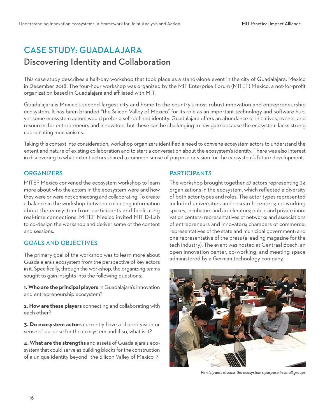## CASE STUDY: GUADALAJARA

## Discovering Identity and Collaboration

This case study describes a half-day workshop that took place as a stand-alone event in the city of Guadalajara, Mexico in December 2018. The four-hour workshop was organized by the MIT Enterprise Forum (MITEF) Mexico, a not-for-profit organization based in Guadalajara and affiliated with MIT.

Guadalajara is Mexico's second-largest city and home to the country's most robust innovation and entrepreneurship ecosystem. It has been branded "the Silicon Valley of Mexico" for its role as an important technology and software hub, yet some ecosystem actors would prefer a self-defined identity. Guadalajara offers an abundance of initiatives, events, and resources for entrepreneurs and innovators, but these can be challenging to navigate because the ecosystem lacks strong coordinating mechanisms.

Taking this context into consideration, workshop organizers identified a need to convene ecosystem actors to understand the extent and nature of existing collaboration and to start a conversation about the ecosystem's identity. There was also interest in discovering to what extent actors shared a common sense of purpose or vision for the ecosystem's future development.

#### **ORGANIZERS**

MITEF Mexico convened the ecosystem workshop to learn more about who the actors in the ecosystem were and how they were or were not connecting and collaborating. To create a balance in the workshop between collecting information about the ecosystem from participants and facilitating real-time connections, MITEF Mexico invited MIT D-Lab to co-design the workshop and deliver some of the content and sessions.

#### GOALS AND OBJECTIVES

The primary goal of the workshop was to learn more about Guadalajara's ecosystem from the perspective of key actors in it. Specifically, through the workshop, the organizing teams sought to gain insights into the following questions:

**1. Who are the principal players** in Guadalajara's innovation and entrepreneurship ecosystem?

**2. How are these players** connecting and collaborating with each other?

**3. Do ecosystem actors** currently have a shared vision or sense of purpose for the ecosystem and if so, what is it?

**4. What are the strengths** and assets of Guadalajara's ecosystem that could serve as building blocks for the construction of a unique identity beyond "the Silicon Valley of Mexico"?

#### **PARTICIPANTS**

The workshop brought together 47 actors representing 34 organizations in the ecosystem, which reflected a diversity of both actor types and roles. The actor types represented included universities and research centers; co-working spaces, incubators and accelerators; public and private innovation centers; representatives of networks and associations of entrepreneurs and innovators; chambers of commerce; representatives of the state and municipal government; and one representative of the press (a leading magazine for the tech industry). The event was hosted at Centraal Bosch, an open innovation center, co-working, and meeting space administered by a German technology company.



*Participants discuss the ecosystem's purpose in small groups*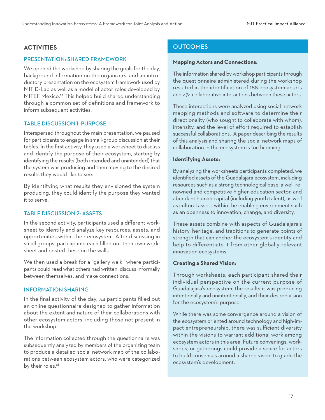#### **ACTIVITIES**

#### PRESENTATION: SHARED FRAMEWORK

We opened the workshop by sharing the goals for the day, background information on the organizers, and an introductory presentation on the ecosystem framework used by MIT D-Lab as well as a model of actor roles developed by MITEF Mexico.<sup>27</sup> This helped build shared understanding through a common set of definitions and framework to inform subsequent activities.

#### TABLE DISCUSSION 1: PURPOSE

Interspersed throughout the main presentation, we paused for participants to engage in small-group discussion at their tables. In the first activity, they used a worksheet to discuss and identify the purpose of their ecosystem, starting by identifying the results (both intended and unintended) that the system was producing and then moving to the desired results they would like to see.

By identifying what results they envisioned the system producing, they could identify the purpose they wanted it to serve.

#### TABLE DISCUSSION 2: ASSETS

In the second activity, participants used a different worksheet to identify and analyze key resources, assets, and opportunities within their ecosystem. After discussing in small groups, participants each filled out their own worksheet and posted these on the walls.

We then used a break for a "gallery walk" where participants could read what others had written, discuss informally between themselves, and make connections.

#### INFORMATION SHARING

In the final activity of the day, 34 participants filled out an online questionnaire designed to gather information about the extent and nature of their collaborations with other ecosystem actors, including those not present in the workshop.

The information collected through the questionnaire was subsequently analyzed by members of the organizing team to produce a detailed social network map of the collaborations between ecosystem actors, who were categorized by their roles.<sup>28</sup>

#### **OUTCOMES**

#### **Mapping Actors and Connections:**

The information shared by workshop participants through the questionnaire administered during the workshop resulted in the identification of 188 ecosystem actors and 474 collaborative interactions between these actors.

These interactions were analyzed using social network mapping methods and software to determine their directionality (who sought to collaborate with whom), intensity, and the level of effort required to establish successful collaborations. A paper describing the results of this analysis and sharing the social network maps of collaboration in the ecosystem is forthcoming.

#### **Identifying Assets:**

By analyzing the worksheets participants completed, we identified assets of the Guadalajara ecosystem, including resources such as a strong technological base, a well-renowned and competitive higher education sector, and abundant human capital (including youth talent), as well as cultural assets within the enabling environment such as an openness to innovation, change, and diversity.

These assets combine with aspects of Guadalajara's history, heritage, and traditions to generate points of strength that can anchor the ecosystem's identity and help to differentiate it from other globally-relevant innovation ecosystems.

#### **Creating a Shared Vision:**

Through worksheets, each participant shared their individual perspective on the current purpose of Guadalajara's ecosystem, the results it was producing intentionally and unintentionally, and their desired vision for the ecosystem's purpose.

While there was some convergence around a vision of the ecosystem oriented around technology and high-impact entrepreneurship, there was sufficient diversity within the visions to warrant additional work among ecosystem actors in this area. Future convenings, workshops, or gatherings could provide a space for actors to build consensus around a shared vision to guide the ecosystem's development.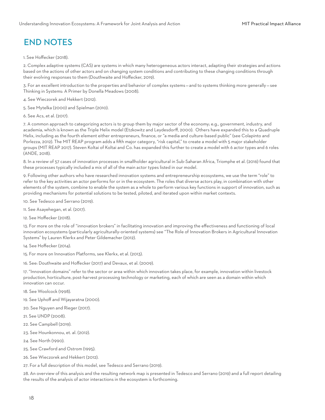## END NOTES

#### 1. See Hoffecker (2018).

2. Complex adaptive systems (CAS) are systems in which many heterogeneous actors interact, adapting their strategies and actions based on the actions of other actors and on changing system conditions and contributing to these changing conditions through their evolving responses to them (Douthwaite and Hoffecker, 2019).

3. For an excellent introduction to the properties and behavior of complex systems — and to systems thinking more generally — see Thinking in Systems: A Primer by Donella Meadows (2008).

- 4. See Wieczorek and Hekkert (2012).
- 5. See Mytelka (2000) and Spielman (2010).
- 6. See Acs, et al. (2017).

7. A common approach to categorizing actors is to group them by major sector of the economy; e.g., government, industry, and academia, which is known as the Triple Helix model (Etzkowitz and Leydesdorff, 2000). Others have expanded this to a Quadruple Helix, including as the fourth element either entrepreneurs, finance, or "a media and culture-based public" (see Colapinto and Porlezza, 2012). The MIT REAP program adds a fifth major category, "risk capital," to create a model with 5 major stakeholder groups (MIT REAP 2017). Steven Koltai of Koltai and Co. has expanded this further to create a model with 6 actor types and 6 roles (ANDE, 2018).

8. In a review of 57 cases of innovation processes in smallholder agricultural in Sub-Saharan Africa, Triomphe et al. (2016) found that these processes typically included a mix of all of the main actor types listed in our model.

9. Following other authors who have researched innovation systems and entrepreneurship ecosystems, we use the term "role" to refer to the key activities an actor performs for or in the ecosystem. The roles that diverse actors play, in combination with other elements of the system, combine to enable the system as a whole to perform various key functions in support of innovation, such as providing mechanisms for potential solutions to be tested, piloted, and iterated upon within market contexts.

10. See Tedesco and Serrano (2019).

- 11. See Asayehegan, et al. (2017).
- 12. See Hoffecker (2018).

13. For more on the role of "innovation brokers" in facilitating innovation and improving the effectiveness and functioning of local innovation ecosystems (particularly agriculturally-oriented systems) see "The Role of Innovation Brokers in Agricultural Innovation Systems" by Lauren Klerkx and Peter Gildemacher (2012).

14. See Hoffecker (2014).

15. For more on Innovation Platforms, see Klerkx, et al. (2013).

16. See: Douthwaite and Hoffecker (2017) and Devaux, et al. (2009).

17. "Innovation domains" refer to the sector or area within which innovation takes place, for example, innovation within livestock production, horticulture, post-harvest processing technology or marketing, each of which are seen as a domain within which innovation can occur.

- 18. See Woolcock (1998).
- 19. See Uphoff and Wijayaratna (2000).
- 20. See Nguyen and Rieger (2017).
- 21. See UNDP (2008).
- 22. See Campbell (2019).
- 23. See Hounkonnou, et. al. (2012).
- 24. See North (1990).
- 25. See Crawford and Ostrom (1995).
- 26. See Wieczorek and Hekkert (2012).
- 27. For a full description of this model, see Tedesco and Serrano (2019).

28. An overview of this analysis and the resulting network map is presented in Tedesco and Serrano (2019) and a full report detailing the results of the analysis of actor interactions in the ecosystem is forthcoming.